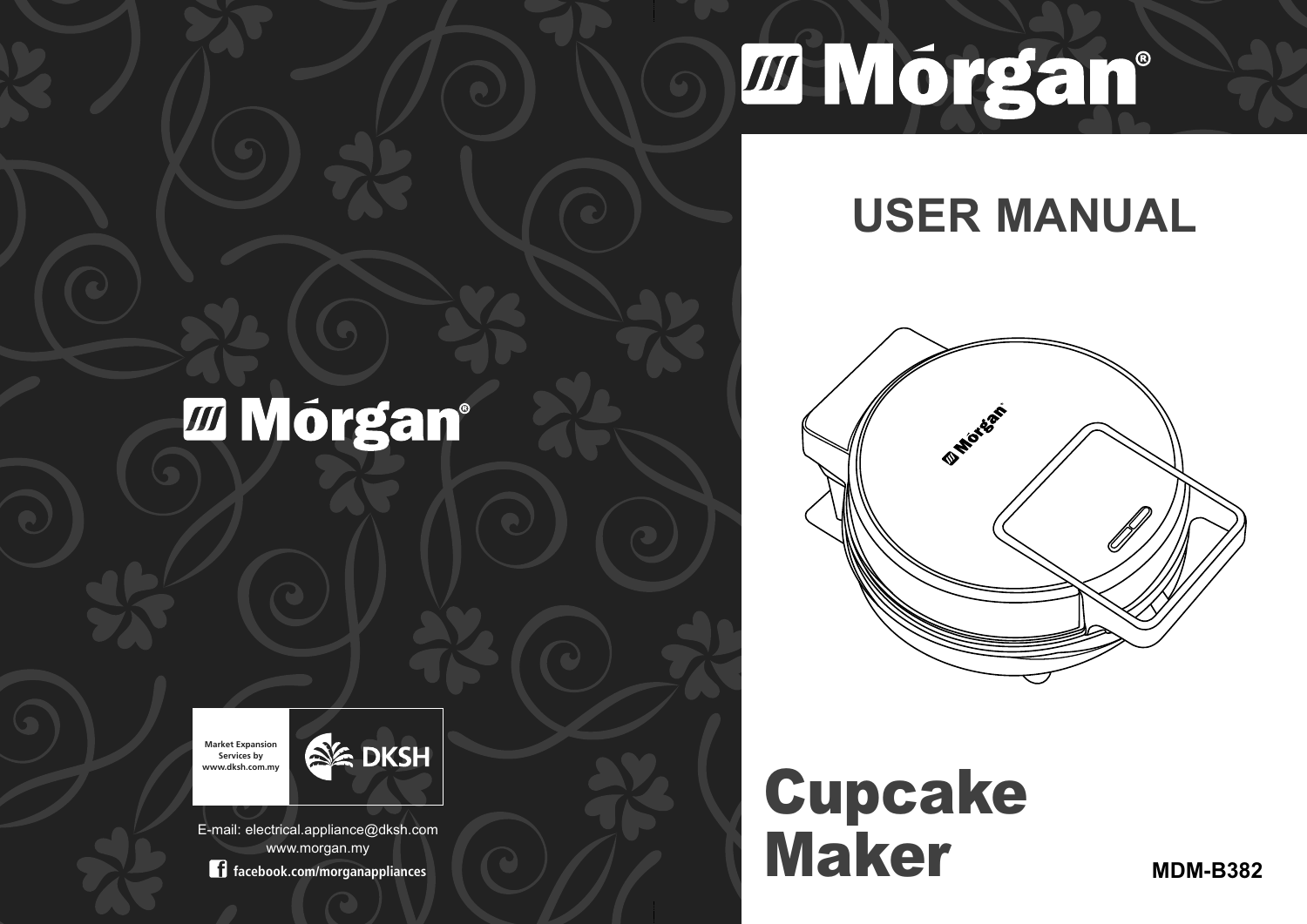# *III Mórgan®*

## **USER MANUAL**

## *<u>m</u>* **Mórgan**<sup>®</sup>

**Market Expansion Services by www.dksh.com.my**



E-mail: electrical.appliance@dksh.com www.morgan.my **facebook.com/morganappliances**



## Cupcake Maker MDM-B382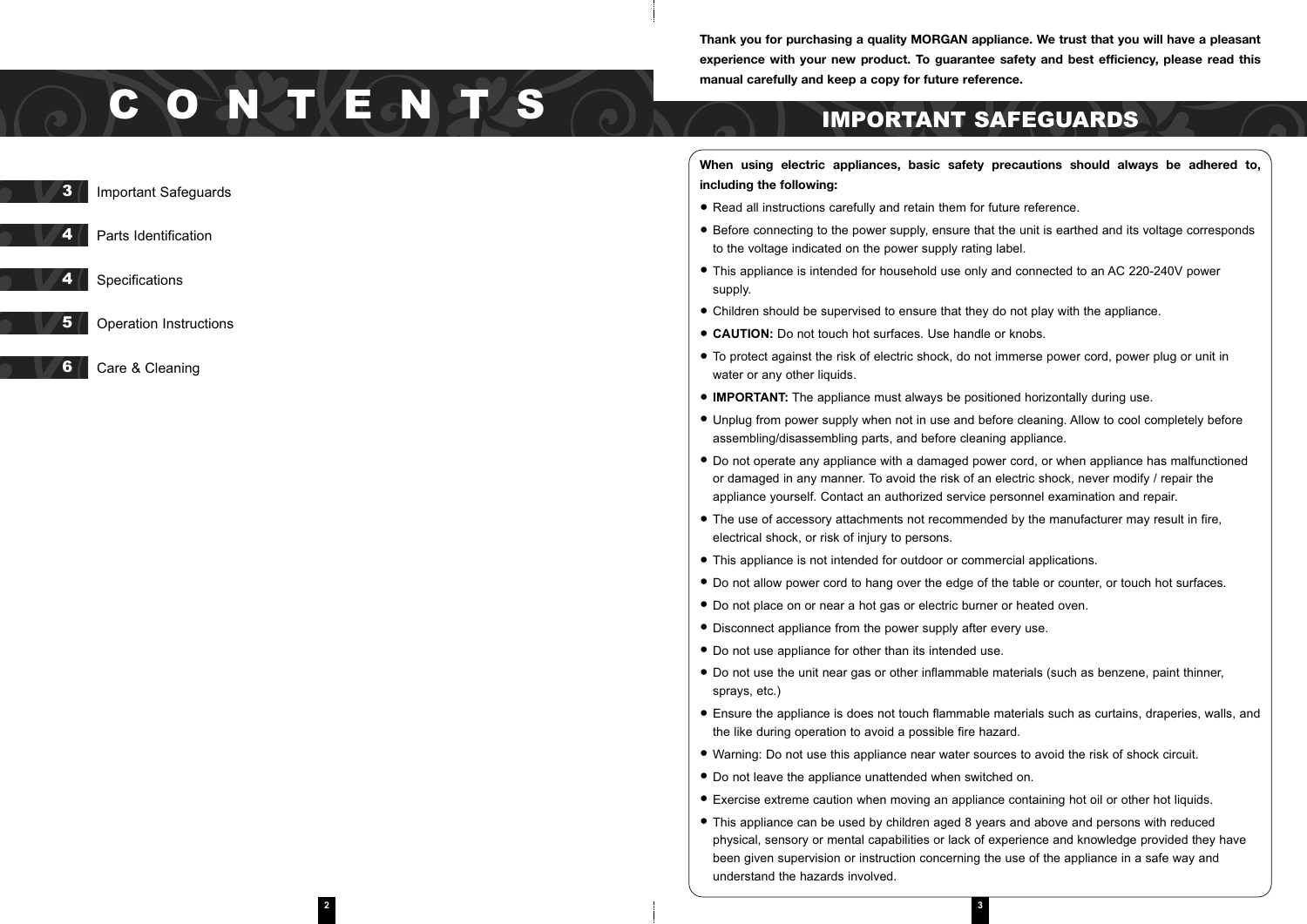**Thank you for purchasing a quality MORGAN appliance. We trust that you will have a pleasant experience with your new product. To guarantee safety and best efficiency, please read this manual carefully and keep a copy for future reference.**

IMPORTANT SAFEGUARDS

## C O N T E N T S



- Read all instructions carefully and retain them for future reference.
- Before connecting to the power supply, ensure that the unit is earthed and its voltage corresponds to the voltage indicated on the power supply rating label.
- This appliance is intended for household use only and connected to an AC 220-240V power supply.
- Children should be supervised to ensure that they do not play with the appliance.
- **CAUTION:** Do not touch hot surfaces. Use handle or knobs.
- To protect against the risk of electric shock, do not immerse power cord, power plug or unit in water or any other liquids.
- **IMPORTANT:** The appliance must always be positioned horizontally during use.
- Unplug from power supply when not in use and before cleaning. Allow to cool completely before assembling/disassembling parts, and before cleaning appliance.
- Do not operate any appliance with <sup>a</sup> damaged power cord, or when appliance has malfunctioned or damaged in any manner. To avoid the risk of an electric shock, never modify / repair the appliance yourself. Contact an authorized service personnel examination and repair.
- The use of accessory attachments not recommended by the manufacturer may result in fire, electrical shock, or risk of injury to persons.
- This appliance is not intended for outdoor or commercial applications.
- Do not allow power cord to hang over the edge of the table or counter, or touch hot surfaces.
- Do not place on or near <sup>a</sup> hot gas or electric burner or heated oven.
- Disconnect appliance from the power supply after every use.
- Do not use appliance for other than its intended use.
- Do not use the unit near gas or other inflammable materials (such as benzene, paint thinner, sprays, etc.)
- Ensure the appliance is does not touch flammable materials such as curtains, draperies, walls, and the like during operation to avoid a possible fire hazard.
- Warning: Do not use this appliance near water sources to avoid the risk of shock circuit.
- Do not leave the appliance unattended when switched on.
- Exercise extreme caution when moving an appliance containing hot oil or other hot liquids.
- This appliance can be used by children aged <sup>8</sup> years and above and persons with reduced physical, sensory or mental capabilities or lack of experience and knowledge provided they have been given supervision or instruction concerning the use of the appliance in a safe way and understand the hazards involved.

**3**

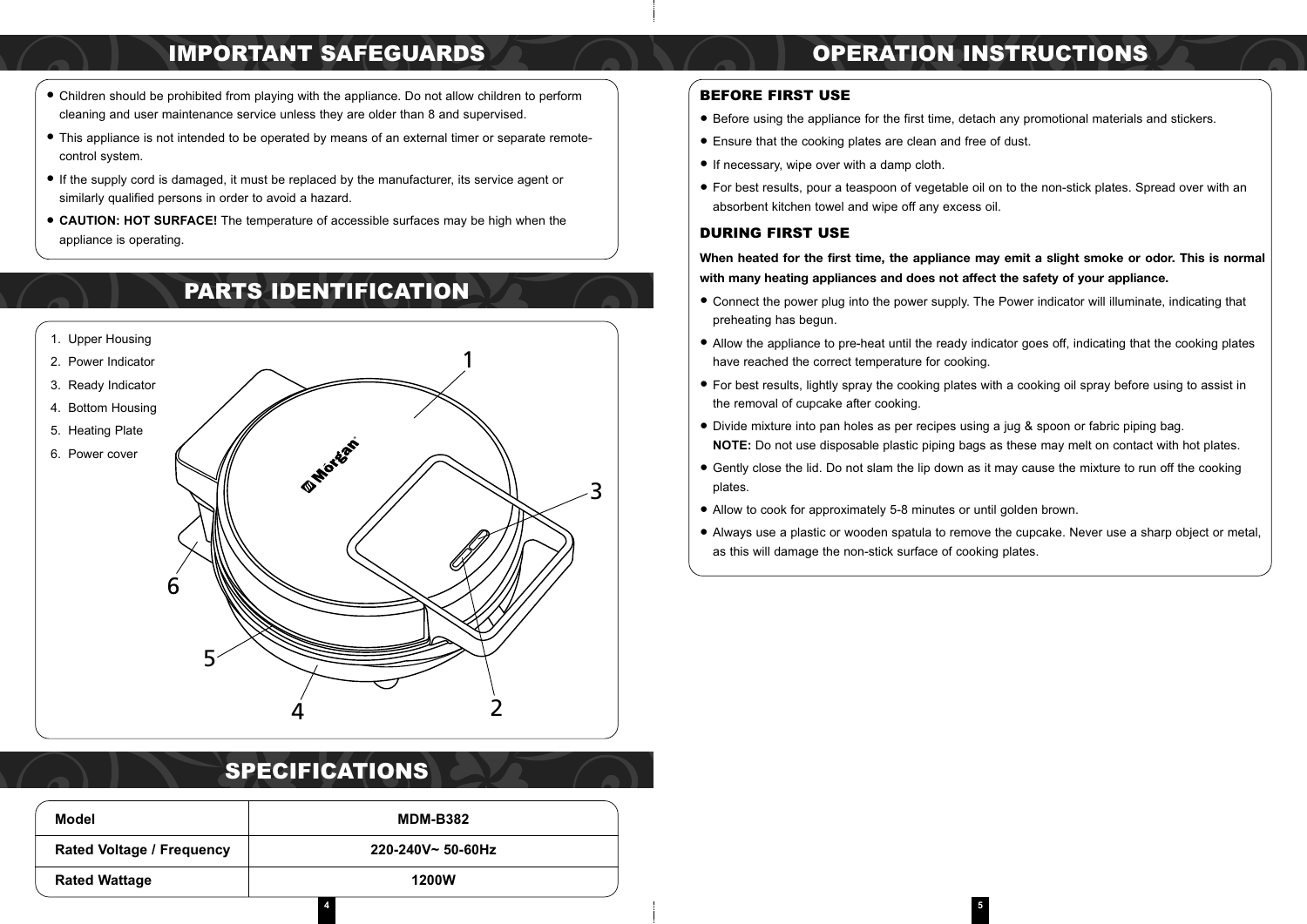#### IMPORTANT SAFEGUARDS

- Children should be prohibited from playing with the appliance. Do not allow children to perform cleaning and user maintenance service unless they are older than 8 and supervised.
- This appliance is not intended to be operated by means of an external timer or separate remote control system.
- If the supply cord is damaged, it must be replaced by the manufacturer, its service agent or similarly qualified persons in order to avoid a hazard.
- **CAUTION: HOT SURFACE!** The temperature of accessible surfaces may be high when the appliance is operating.

### PARTS IDENTIFICATION



### SPECIFICATIONS

| Model                            | <b>MDM-B382</b>          |
|----------------------------------|--------------------------|
| <b>Rated Voltage / Frequency</b> | $220 - 240V - 50 - 60Hz$ |
| <b>Rated Wattage</b>             | 1200W                    |

**4**

### OPERATION INSTRUCTIONS

#### BEFORE FIRST USE

- Before using the appliance for the first time, detach any promotional materials and stickers.
- Ensure that the cooking plates are clean and free of dust.
- If necessary, wipe over with <sup>a</sup> damp cloth.
- For best results, pour <sup>a</sup> teaspoon of vegetable oil on to the non-stick plates. Spread over with an absorbent kitchen towel and wipe off any excess oil.

#### DURING FIRST USE

**When heated for the first time, the appliance may emit a slight smoke or odor. This is normal with many heating appliances and does not affect the safety of your appliance.**

- Connect the power plug into the power supply. The Power indicator will illuminate, indicating that preheating has begun.
- Allow the appliance to pre-heat until the ready indicator goes off, indicating that the cooking plates have reached the correct temperature for cooking.
- For best results, lightly spray the cooking plates with <sup>a</sup> cooking oil spray before using to assist in the removal of cupcake after cooking.
- Divide mixture into pan holes as per recipes using <sup>a</sup> jug & spoon or fabric piping bag. **NOTE:** Do not use disposable plastic piping bags as these may melt on contact with hot plates.
- Gently close the lid. Do not slam the lip down as it may cause the mixture to run off the cooking plates.
- Allow to cook for approximately 5-8 minutes or until golden brown.
- Always use <sup>a</sup> plastic or wooden spatula to remove the cupcake. Never use <sup>a</sup> sharp object or metal, as this will damage the non-stick surface of cooking plates.

**5**